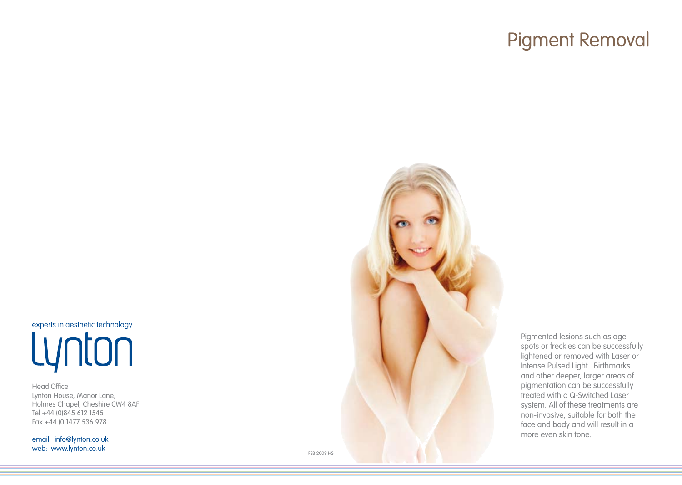# Pigment Removal

experts in aesthetic technology Lynton

Head Office Lynton House, Manor Lane, Holmes Chapel, Cheshire CW4 8AF Tel +44 (0)845 612 1545 Fax +44 (0)1477 536 978

email: info@lynton.co.uk web: www.lynton.co.uk



Pigmented lesions such as age spots or freckles can be successfully lightened or removed with Laser or Intense Pulsed Light. Birthmarks and other deeper, larger areas of pigmentation can be successfully treated with a Q-Switched Laser system. All of these treatments are non-invasive, suitable for both the face and body and will result in a more even skin tone.

FEB 2009 HS